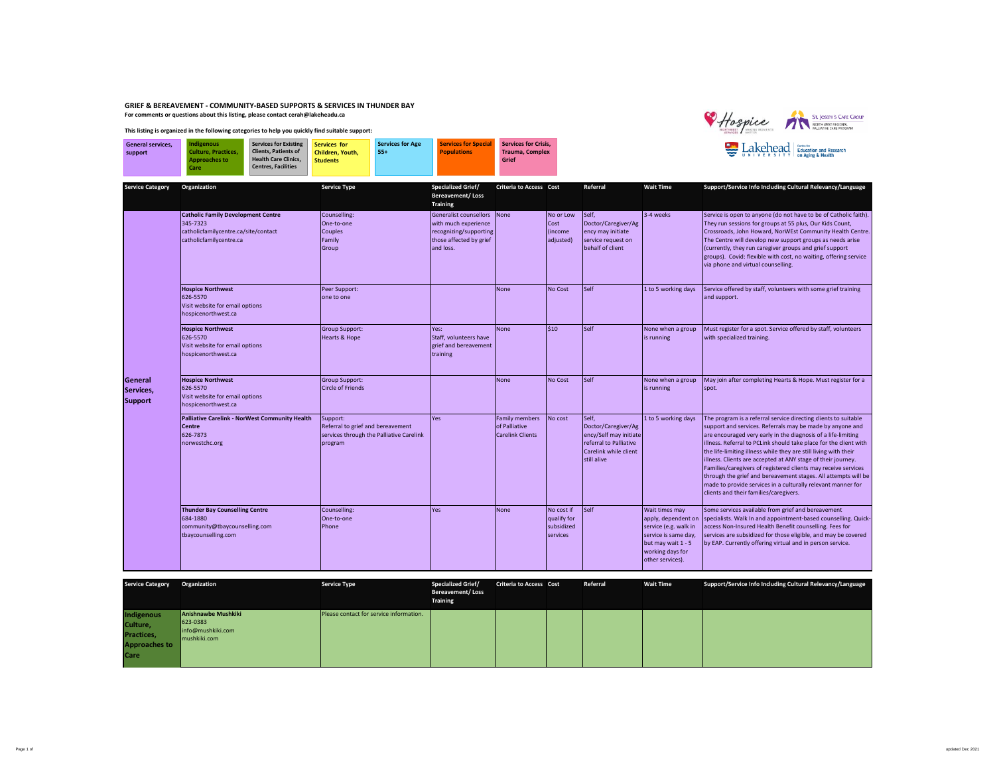## **GRIEF & BEREAVEMENT - COMMUNITY-BASED SUPPORTS & SERVICES IN THUNDER BAY For comments or questions about this listing, please contact cerah@lakeheadu.ca**



## **This listing is organized in the following categories to help you quickly find suitable support:**

| <b>General services.</b> | <b>Indigenous</b>          | <b>Services for Existing</b> | Services for     | <b>Services for Age</b> | <b>Services for Special</b> | Services for Crisis.   |  |
|--------------------------|----------------------------|------------------------------|------------------|-------------------------|-----------------------------|------------------------|--|
| support                  | <b>Culture, Practices.</b> | <b>Clients, Patients of</b>  | Children. Youth. | 554                     | <b>Populations</b>          | <b>Trauma, Complex</b> |  |
|                          | <b>Approaches to</b>       | <b>Health Care Clinics.</b>  | <b>Students</b>  |                         |                             | Grief                  |  |
|                          | Care                       | <b>Centres, Facilities</b>   |                  |                         |                             |                        |  |
|                          |                            |                              |                  |                         |                             |                        |  |

| <b>Service Category</b>                | Organization                                                                                                             | <b>Service Type</b>                                                                                  | <b>Specialized Grief/</b><br><b>Bereavement/Loss</b><br><b>Training</b>                                                 | <b>Criteria to Access Cost</b>                                    |                                                     | Referral                                                                                                                 | <b>Wait Time</b>                                                                                                                                     | Support/Service Info Including Cultural Relevancy/Language                                                                                                                                                                                                                                                                                                                                                                                                                                                                                                                                                                                           |
|----------------------------------------|--------------------------------------------------------------------------------------------------------------------------|------------------------------------------------------------------------------------------------------|-------------------------------------------------------------------------------------------------------------------------|-------------------------------------------------------------------|-----------------------------------------------------|--------------------------------------------------------------------------------------------------------------------------|------------------------------------------------------------------------------------------------------------------------------------------------------|------------------------------------------------------------------------------------------------------------------------------------------------------------------------------------------------------------------------------------------------------------------------------------------------------------------------------------------------------------------------------------------------------------------------------------------------------------------------------------------------------------------------------------------------------------------------------------------------------------------------------------------------------|
|                                        | <b>Catholic Family Development Centre</b><br>345-7323<br>catholicfamilycentre.ca/site/contact<br>catholicfamilycentre.ca | Counselling:<br>One-to-one<br>Couples<br>Family<br>Group                                             | <b>Generalist counsellors</b><br>with much experience<br>recognizing/supporting<br>those affected by grief<br>and loss. | None                                                              | No or Low<br>Cost<br>(income<br>adjusted)           | Self,<br>Doctor/Caregiver/Ag<br>ency may initiate<br>service request on<br>behalf of client                              | 3-4 weeks                                                                                                                                            | Service is open to anyone (do not have to be of Catholic faith).<br>They run sessions for groups at 55 plus, Our Kids Count,<br>Crossroads, John Howard, NorWEst Community Health Centre.<br>The Centre will develop new support groups as needs arise<br>(currently, they run caregiver groups and grief support<br>groups). Covid: flexible with cost, no waiting, offering service<br>via phone and virtual counselling.                                                                                                                                                                                                                          |
|                                        | <b>Hospice Northwest</b><br>626-5570<br>Visit website for email options<br>hospicenorthwest.ca                           | Peer Support:<br>one to one                                                                          |                                                                                                                         | None                                                              | No Cost                                             | Self                                                                                                                     | 1 to 5 working days                                                                                                                                  | Service offered by staff, volunteers with some grief training<br>and support.                                                                                                                                                                                                                                                                                                                                                                                                                                                                                                                                                                        |
|                                        | <b>Hospice Northwest</b><br>626-5570<br>Visit website for email options<br>hospicenorthwest.ca                           | <b>Group Support:</b><br>Hearts & Hope                                                               | Yes:<br>Staff, volunteers have<br>grief and bereavement<br>training                                                     | None                                                              | $\mathsf{S}10$                                      | Self                                                                                                                     | None when a group<br>is running                                                                                                                      | Must register for a spot. Service offered by staff, volunteers<br>with specialized training.                                                                                                                                                                                                                                                                                                                                                                                                                                                                                                                                                         |
| General<br>Services,<br><b>Support</b> | <b>Hospice Northwest</b><br>626-5570<br>Visit website for email options<br>hospicenorthwest.ca                           | <b>Group Support:</b><br><b>Circle of Friends</b>                                                    |                                                                                                                         | None                                                              | No Cost                                             | Self                                                                                                                     | None when a group<br>is running                                                                                                                      | May join after completing Hearts & Hope. Must register for a<br>spot.                                                                                                                                                                                                                                                                                                                                                                                                                                                                                                                                                                                |
|                                        | <b>Palliative Carelink - NorWest Community Health</b><br>Centre<br>626-7873<br>norwestchc.org                            | Support:<br>Referral to grief and bereavement<br>services through the Palliative Carelink<br>program | Yes                                                                                                                     | <b>Family members</b><br>of Palliative<br><b>Carelink Clients</b> | No cost                                             | Self,<br>Doctor/Caregiver/Ag<br>ency/Self may initiate<br>referral to Palliative<br>Carelink while client<br>still alive | 1 to 5 working days                                                                                                                                  | The program is a referral service directing clients to suitable<br>support and services. Referrals may be made by anyone and<br>are encouraged very early in the diagnosis of a life-limiting<br>illness. Referral to PCLink should take place for the client with<br>the life-limiting illness while they are still living with their<br>illness. Clients are accepted at ANY stage of their journey.<br>Families/caregivers of registered clients may receive services<br>through the grief and bereavement stages. All attempts will be<br>made to provide services in a culturally relevant manner for<br>clients and their families/caregivers. |
|                                        | <b>Thunder Bay Counselling Centre</b><br>684-1880<br>community@tbaycounselling.com<br>tbaycounselling.com                | Counselling:<br>One-to-one<br>Phone                                                                  | Yes                                                                                                                     | <b>None</b>                                                       | No cost if<br>qualify for<br>subsidized<br>services | Self                                                                                                                     | Wait times may<br>apply, dependent on<br>service (e.g. walk in<br>service is same day,<br>but may wait 1 - 5<br>working days for<br>other services). | Some services available from grief and bereavement<br>specialists. Walk In and appointment-based counselling. Quick-<br>access Non-Insured Health Benefit counselling. Fees for<br>services are subsidized for those eligible, and may be covered<br>by EAP. Currently offering virtual and in person service.                                                                                                                                                                                                                                                                                                                                       |

| <b>Service Category</b>                                              | Organization                                                         | <b>Service Type</b>                     | <b>Specialized Grief/</b><br><b>Bereavement/Loss</b><br>Training | <b>Criteria to Access Cost</b> | Referral | <b>Wait Time</b> | Support/Service Info Including Cultural Relevancy/Language |
|----------------------------------------------------------------------|----------------------------------------------------------------------|-----------------------------------------|------------------------------------------------------------------|--------------------------------|----------|------------------|------------------------------------------------------------|
| Indigenous<br>Culture,<br>Practices,<br><b>Approaches to</b><br>Care | Anishnawbe Mushkiki<br>623-0383<br>info@mushkiki.com<br>mushkiki.com | Please contact for service information. |                                                                  |                                |          |                  |                                                            |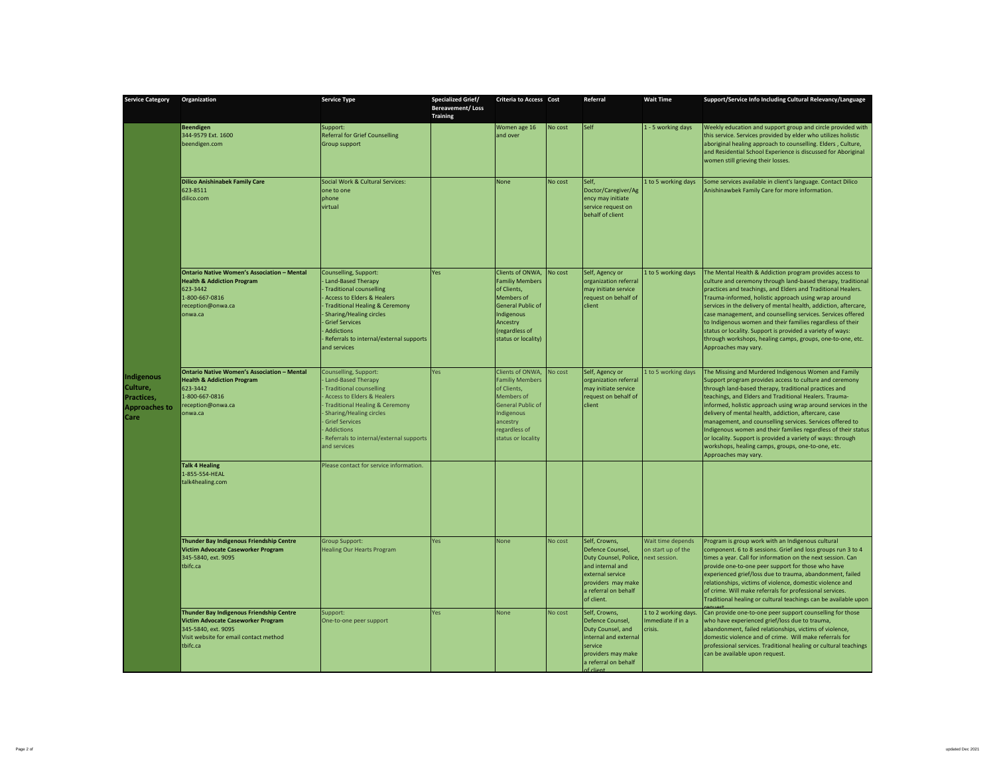| <b>Service Category</b>                                              | Organization                                                                                                                                                       | <b>Service Type</b>                                                                                                                                                                                                                                                                          | <b>Specialized Grief/</b><br><b>Bereavement/Loss</b><br><b>Training</b> | <b>Criteria to Access Cost</b>                                                                                                                                              |         | Referral                                                                                                                                                       | <b>Wait Time</b>                                        | Support/Service Info Including Cultural Relevancy/Language                                                                                                                                                                                                                                                                                                                                                                                                                                                                                                                                                                               |
|----------------------------------------------------------------------|--------------------------------------------------------------------------------------------------------------------------------------------------------------------|----------------------------------------------------------------------------------------------------------------------------------------------------------------------------------------------------------------------------------------------------------------------------------------------|-------------------------------------------------------------------------|-----------------------------------------------------------------------------------------------------------------------------------------------------------------------------|---------|----------------------------------------------------------------------------------------------------------------------------------------------------------------|---------------------------------------------------------|------------------------------------------------------------------------------------------------------------------------------------------------------------------------------------------------------------------------------------------------------------------------------------------------------------------------------------------------------------------------------------------------------------------------------------------------------------------------------------------------------------------------------------------------------------------------------------------------------------------------------------------|
|                                                                      | <b>Beendigen</b><br>344-9579 Ext. 1600<br>beendigen.com                                                                                                            | Support:<br><b>Referral for Grief Counselling</b><br>Group support                                                                                                                                                                                                                           |                                                                         | Women age 16<br>and over                                                                                                                                                    | No cost | Self                                                                                                                                                           | 1 - 5 working days                                      | Weekly education and support group and circle provided with<br>this service. Services provided by elder who utilizes holistic<br>aboriginal healing approach to counselling. Elders, Culture,<br>and Residential School Experience is discussed for Aboriginal<br>women still grieving their losses.                                                                                                                                                                                                                                                                                                                                     |
|                                                                      | <b>Dilico Anishinabek Family Care</b><br>623-8511<br>dilico.com                                                                                                    | Social Work & Cultural Services:<br>one to one<br>phone<br>virtual                                                                                                                                                                                                                           |                                                                         | None                                                                                                                                                                        | No cost | Self,<br>Doctor/Caregiver/Ag<br>ency may initiate<br>service request on<br>behalf of client                                                                    | 1 to 5 working days                                     | Some services available in client's language. Contact Dilico<br>Anishinawbek Family Care for more information.                                                                                                                                                                                                                                                                                                                                                                                                                                                                                                                           |
|                                                                      | <b>Ontario Native Women's Association - Mental</b><br><b>Health &amp; Addiction Program</b><br>623-3442<br>1-800-667-0816<br>reception@onwa.ca<br>onwa.ca          | Counselling, Support:<br>Land-Based Therapy<br>Traditional counselling<br>Access to Elders & Healers<br><b>Traditional Healing &amp; Ceremony</b><br><b>Sharing/Healing circles</b><br><b>Grief Services</b><br><b>Addictions</b><br>Referrals to internal/external supports<br>and services | Yes                                                                     | Clients of ONWA,<br><b>Familiy Members</b><br>of Clients.<br>Members of<br><b>General Public of</b><br>Indigenous<br>Ancestry<br>(regardless of<br>status or locality)      | No cost | Self, Agency or<br>organization referral<br>may initiate service<br>request on behalf of<br>client                                                             | 1 to 5 working days                                     | The Mental Health & Addiction program provides access to<br>culture and ceremony through land-based therapy, traditional<br>practices and teachings, and Elders and Traditional Healers.<br>Trauma-informed, holistic approach using wrap around<br>services in the delivery of mental health, addiction, aftercare,<br>case management, and counselling services. Services offered<br>to Indigenous women and their families regardless of their<br>status or locality. Support is provided a variety of ways:<br>through workshops, healing camps, groups, one-to-one, etc.<br>Approaches may vary.                                    |
| Indigenous<br>Culture,<br>Practices,<br><b>Approaches to</b><br>Care | <b>Ontario Native Women's Association - Mental</b><br><b>Health &amp; Addiction Program</b><br>623-3442<br>1-800-667-0816<br>reception@onwa.ca<br>onwa.ca          | Counselling, Support:<br>Land-Based Therapy<br><b>Traditional counselling</b><br>Access to Elders & Healers<br><b>Traditional Healing &amp; Ceremony</b><br><b>Sharing/Healing circles</b><br><b>Grief Services</b><br>Addictions<br>Referrals to internal/external supports<br>and services | Yes                                                                     | Clients of ONWA.<br><b>Familiy Members</b><br>of Clients,<br><b>Members</b> of<br><b>General Public of</b><br>Indigenous<br>ancestry<br>regardless of<br>status or locality | No cost | Self, Agency or<br>organization referral<br>may initiate service<br>request on behalf of<br>client                                                             | 1 to 5 working days                                     | The Missing and Murdered Indigenous Women and Family<br>Support program provides access to culture and ceremony<br>through land-based therapy, traditional practices and<br>teachings, and Elders and Traditional Healers. Trauma-<br>informed, holistic approach using wrap around services in the<br>delivery of mental health, addiction, aftercare, case<br>management, and counselling services. Services offered to<br>Indigenous women and their families regardless of their status<br>or locality. Support is provided a variety of ways: through<br>workshops, healing camps, groups, one-to-one, etc.<br>Approaches may vary. |
|                                                                      | <b>Talk 4 Healing</b><br>1-855-554-HEAL<br>talk4healing.com                                                                                                        | Please contact for service information.                                                                                                                                                                                                                                                      |                                                                         |                                                                                                                                                                             |         |                                                                                                                                                                |                                                         |                                                                                                                                                                                                                                                                                                                                                                                                                                                                                                                                                                                                                                          |
|                                                                      | Thunder Bay Indigenous Friendship Centre<br>Victim Advocate Caseworker Program<br>345-5840, ext. 9095<br>tbifc.ca                                                  | <b>Group Support:</b><br><b>Healing Our Hearts Program</b>                                                                                                                                                                                                                                   | Yes                                                                     | None                                                                                                                                                                        | No cost | Self, Crowns,<br>Defence Counsel,<br>Duty Counsel, Police,<br>and internal and<br>external service<br>providers may make<br>a referral on behalf<br>of client. | Wait time depends<br>on start up of the<br>ext session. | Program is group work with an Indigenous cultural<br>component. 6 to 8 sessions. Grief and loss groups run 3 to 4<br>times a year. Call for information on the next session. Can<br>provide one-to-one peer support for those who have<br>experienced grief/loss due to trauma, abandonment, failed<br>relationships, victims of violence, domestic violence and<br>of crime. Will make referrals for professional services.<br>Traditional healing or cultural teachings can be available upon                                                                                                                                          |
|                                                                      | Thunder Bay Indigenous Friendship Centre<br><b>Victim Advocate Caseworker Program</b><br>345-5840, ext. 9095<br>Visit website for email contact method<br>tbifc.ca | Support:<br>One-to-one peer support                                                                                                                                                                                                                                                          | Yes                                                                     | <b>None</b>                                                                                                                                                                 | No cost | Self, Crowns,<br>Defence Counsel.<br>Duty Counsel, and<br>internal and external<br>service<br>providers may make<br>a referral on behalf                       | 1 to 2 working days.<br>mmediate if in a<br>crisis.     | Can provide one-to-one peer support counselling for those<br>who have experienced grief/loss due to trauma,<br>abandonment, failed relationships, victims of violence,<br>domestic violence and of crime. Will make referrals for<br>professional services. Traditional healing or cultural teachings<br>can be available upon request.                                                                                                                                                                                                                                                                                                  |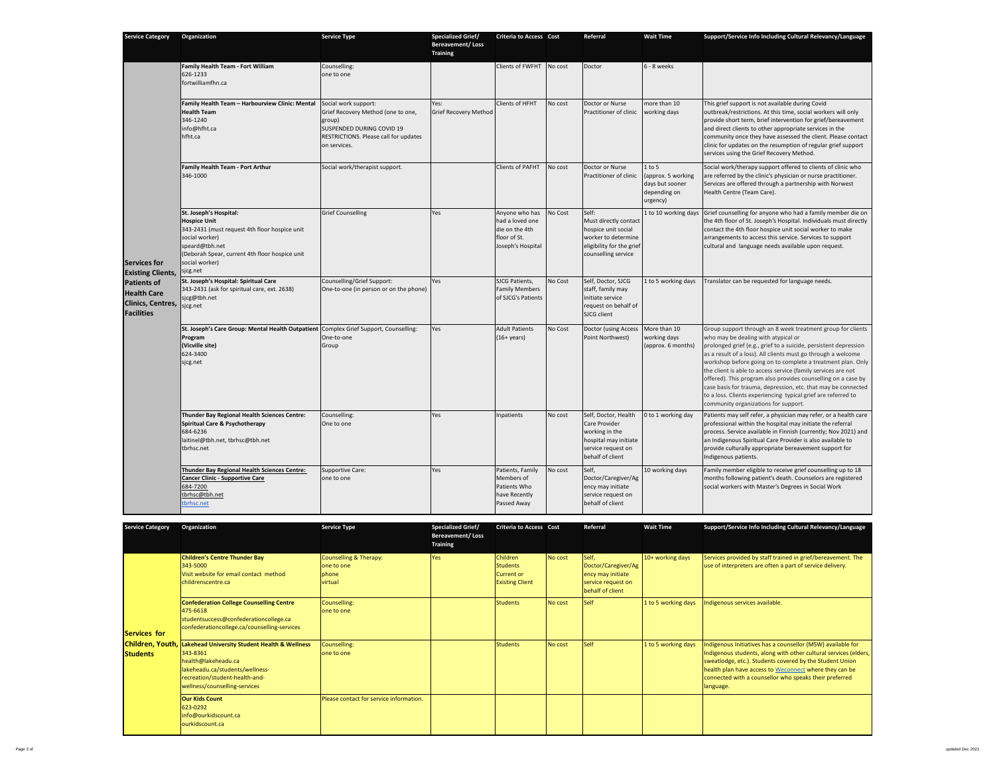| <b>Service Category</b>                                                                                                                      | Organization                                                                                                                                                                                                       | <b>Service Type</b>                                                                                                                                        | <b>Specialized Grief/</b><br><b>Bereavement/Loss</b><br><b>Training</b> | <b>Criteria to Access Cost</b>                                                           |                | Referral                                                                                                                         | <b>Wait Time</b>                                                               | Support/Service Info Including Cultural Relevancy/Language                                                                                                                                                                                                                                                                                                                                                                                                                                                                                                                                                         |
|----------------------------------------------------------------------------------------------------------------------------------------------|--------------------------------------------------------------------------------------------------------------------------------------------------------------------------------------------------------------------|------------------------------------------------------------------------------------------------------------------------------------------------------------|-------------------------------------------------------------------------|------------------------------------------------------------------------------------------|----------------|----------------------------------------------------------------------------------------------------------------------------------|--------------------------------------------------------------------------------|--------------------------------------------------------------------------------------------------------------------------------------------------------------------------------------------------------------------------------------------------------------------------------------------------------------------------------------------------------------------------------------------------------------------------------------------------------------------------------------------------------------------------------------------------------------------------------------------------------------------|
|                                                                                                                                              | Family Health Team - Fort William<br>626-1233<br>fortwilliamfhn.ca                                                                                                                                                 | Counselling:<br>one to one                                                                                                                                 |                                                                         | Clients of FWFHT                                                                         | No cost        | Doctor                                                                                                                           | 6 - 8 weeks                                                                    |                                                                                                                                                                                                                                                                                                                                                                                                                                                                                                                                                                                                                    |
| <b>Services for</b><br><b>Existing Clients,</b><br><b>Patients of</b><br><b>Health Care</b><br><b>Clinics, Centres,</b><br><b>Facilities</b> | Family Health Team - Harbourview Clinic: Mental<br><b>Health Team</b><br>346-1240<br>info@hfht.ca<br>hfht.ca                                                                                                       | Social work support:<br>Grief Recovery Method (one to one,<br>group)<br>SUSPENDED DURING COVID 19<br>RESTRICTIONS. Please call for updates<br>on services. | Yes:<br><b>Grief Recovery Method</b>                                    | Clients of HFHT                                                                          | No cost        | Doctor or Nurse<br>Practitioner of clinic                                                                                        | more than 10<br>working days                                                   | This grief support is not available during Covid<br>outbreak/restrictions. At this time, social workers will only<br>provide short term, brief intervention for grief/bereavement<br>and direct clients to other appropriate services in the<br>community once they have assessed the client. Please contact<br>clinic for updates on the resumption of regular grief support<br>services using the Grief Recovery Method.                                                                                                                                                                                         |
|                                                                                                                                              | Family Health Team - Port Arthur<br>346-1000                                                                                                                                                                       | Social work/therapist support.                                                                                                                             |                                                                         | <b>Clients of PAFHT</b>                                                                  | No cost        | Doctor or Nurse<br>Practitioner of clinic                                                                                        | $1$ to $5$<br>approx. 5 working<br>days but sooner<br>depending on<br>urgency) | Social work/therapy support offered to clients of clinic who<br>are referred by the clinic's physician or nurse practitioner.<br>Services are offered through a partnership with Norwest<br>Health Centre (Team Care).                                                                                                                                                                                                                                                                                                                                                                                             |
|                                                                                                                                              | St. Joseph's Hospital:<br><b>Hospice Unit</b><br>343-2431 (must request 4th floor hospice unit<br>social worker)<br>speard@tbh.net<br>(Deborah Spear, current 4th floor hospice unit<br>social worker)<br>sjcg.net | <b>Grief Counselling</b>                                                                                                                                   | Yes                                                                     | Anyone who has<br>had a loved one<br>die on the 4th<br>floor of St.<br>Joseph's Hospital | <b>No Cost</b> | Self:<br>Must directly contact<br>hospice unit social<br>worker to determine<br>eligibility for the grief<br>counselling service | 1 to 10 working days                                                           | Grief counselling for anyone who had a family member die on<br>the 4th floor of St. Joseph's Hospital. Individuals must directly<br>contact the 4th floor hospice unit social worker to make<br>arrangements to access this service. Services to support<br>cultural and language needs available upon request.                                                                                                                                                                                                                                                                                                    |
|                                                                                                                                              | St. Joseph's Hospital: Spiritual Care<br>343-2431 (ask for spiritual care, ext. 2638)<br>sicg@tbh.net<br>sjcg.net                                                                                                  | Counselling/Grief Support:<br>One-to-one (in person or on the phone)                                                                                       | Yes                                                                     | SJCG Patients.<br><b>Family Members</b><br>of SJCG's Patients                            | No Cost        | Self, Doctor, SJCG<br>staff, family may<br>initiate service<br>request on behalf of<br>SJCG client                               | 1 to 5 working days                                                            | Translator can be requested for language needs.                                                                                                                                                                                                                                                                                                                                                                                                                                                                                                                                                                    |
|                                                                                                                                              | St. Joseph's Care Group: Mental Health Outpatient Complex Grief Support, Counselling:<br>Program<br>(Vicville site)<br>624-3400<br>sjcg.net                                                                        | One-to-one<br>Group                                                                                                                                        | Yes                                                                     | <b>Adult Patients</b><br>$(16 + \text{years})$                                           | No Cost        | Doctor (using Access<br>Point Northwest)                                                                                         | More than 10<br>working days<br>(approx. 6 months)                             | Group support through an 8 week treatment group for clients<br>who may be dealing with atypical or<br>prolonged grief (e.g., grief to a suicide, persistent depression<br>as a result of a loss). All clients must go through a welcome<br>workshop before going on to complete a treatment plan. Only<br>the client is able to access service (family services are not<br>offered). This program also provides counselling on a case by<br>case basis for trauma, depression, etc. that may be connected<br>to a loss. Clients experiencing typical grief are referred to<br>community organizations for support. |
|                                                                                                                                              | Thunder Bay Regional Health Sciences Centre:<br>Spiritual Care & Psychotherapy<br>684-6236<br>laitinel@tbh.net, tbrhsc@tbh.net<br>tbrhsc.net                                                                       | Counselling:<br>One to one                                                                                                                                 | Yes                                                                     | npatients                                                                                | No cost        | Self, Doctor, Health<br>Care Provider<br>working in the<br>hospital may initiate<br>service request on<br>behalf of client       | 0 to 1 working day                                                             | Patients may self refer, a physician may refer, or a health care<br>professional within the hospital may initiate the referral<br>process. Service available in Finnish (currently; Nov 2021) and<br>an Indigenous Spiritual Care Provider is also available to<br>provide culturally appropriate bereavement support for<br>Indigenous patients.                                                                                                                                                                                                                                                                  |
|                                                                                                                                              | Thunder Bay Regional Health Sciences Centre:<br><b>Cancer Clinic - Supportive Care</b><br>684-7200<br>tbrhsc@tbh.net<br>tbrhsc.net                                                                                 | Supportive Care:<br>one to one                                                                                                                             | Yes                                                                     | Patients, Family<br>Members of<br>Patients Who<br>have Recently<br>Passed Away           | No cost        | Self.<br>Doctor/Caregiver/Ag<br>ency may initiate<br>service request on<br>behalf of client                                      | 10 working days                                                                | Family member eligible to receive grief counselling up to 18<br>months following patient's death. Counselors are registered<br>social workers with Master's Degrees in Social Work                                                                                                                                                                                                                                                                                                                                                                                                                                 |

| <b>Service Category</b>             | Organization                                                                                                                                                                           | <b>Service Type</b>                                                 | <b>Specialized Grief/</b><br><b>Bereavement/Loss</b><br>Training | <b>Criteria to Access Cost</b>                                             |         | Referral                                                                                    | <b>Wait Time</b>    | Support/Service Info Including Cultural Relevancy/Language                                                                                                                                                                                                                                                                  |
|-------------------------------------|----------------------------------------------------------------------------------------------------------------------------------------------------------------------------------------|---------------------------------------------------------------------|------------------------------------------------------------------|----------------------------------------------------------------------------|---------|---------------------------------------------------------------------------------------------|---------------------|-----------------------------------------------------------------------------------------------------------------------------------------------------------------------------------------------------------------------------------------------------------------------------------------------------------------------------|
|                                     | <b>Children's Centre Thunder Bay</b><br>343-5000<br>Visit website for email contact method<br>childrenscentre.ca                                                                       | <b>Counselling &amp; Therapy:</b><br>one to one<br>phone<br>virtual | Yes                                                              | Children<br><b>Students</b><br><b>Current or</b><br><b>Existing Client</b> | No cost | Self,<br>Doctor/Caregiver/Ag<br>ency may initiate<br>service request on<br>behalf of client | 10+ working days    | Services provided by staff trained in grief/bereavement. The<br>use of interpreters are often a part of service delivery.                                                                                                                                                                                                   |
| Services for                        | <b>Confederation College Counselling Centre</b><br>475-6618<br>studentsuccess@confederationcollege.ca<br>confederationcollege.ca/counselling-services                                  | Counselling:<br>one to one                                          |                                                                  | <b>Students</b>                                                            | No cost | <b>Self</b>                                                                                 | 1 to 5 working days | Indigenous services available.                                                                                                                                                                                                                                                                                              |
| Children, Youth,<br><b>Students</b> | Lakehead University Student Health & Wellness<br>343-8361<br>health@lakeheadu.ca<br>lakeheadu.ca/students/wellness-<br>recreation/student-health-and-<br>wellness/counselling-services | Counselling:<br>one to one                                          |                                                                  | <b>Students</b>                                                            | No cost | Self                                                                                        | 1 to 5 working days | ndigenous Initiatives has a counsellor (MSW) available for<br>Indigenous students, along with other cultural services (elders,<br>sweatlodge, etc.). Students covered by the Student Union<br>health plan have access to Weconnect where they can be<br>connected with a counsellor who speaks their preferred<br>language. |
|                                     | <b>Our Kids Count</b><br>623-0292<br>info@ourkidscount.ca<br>ourkidscount.ca                                                                                                           | Please contact for service information.                             |                                                                  |                                                                            |         |                                                                                             |                     |                                                                                                                                                                                                                                                                                                                             |